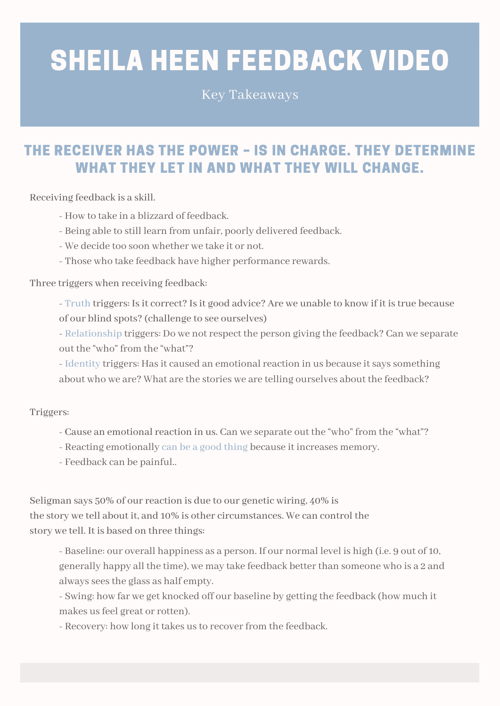## SHEILA HEEN FEEDBACK VIDEO

Key Takeaways

## THE RECEIVER HAS THE POWER – IS IN CHARGE. THEY DETERMINE WHAT THEY LET IN AND WHAT THEY WILL CHANGE.

Receiving feedback is a skill.

- How to take in a blizzard of feedback.
- Being able to still learn from unfair, poorly delivered feedback.
- We decide too soon whether we take it or not.
- Those who take feedback have higher performance rewards.

Three triggers when receiving feedback:

- Truth triggers: Is it correct? Is it good advice? Are we unable to know if it is true because of our blind spots? (challenge to see ourselves)

- Relationship triggers: Do we notrespect the person giving the feedback? Can we separate out the "who" from the "what"?

- Identity triggers: Has it caused an emotional reaction in us because it says something about who we are? What are the stories we are telling ourselves about the feedback?

Triggers:

- Cause an emotional reaction in us. Can we separate out the "who" from the "what"?
- Reacting emotionally can be a good thing because it increases memory.
- Feedback can be painful..

Seligman says 50% of our reaction is due to our genetic wiring, 40% is the story we tell about it, and 10% is other circumstances. We can control the story we tell. It is based on three things:

- Baseline: our overall happiness as a person. If our normal level is high (i.e. 9 out of 10, generally happy all the time), we may take feedback betterthan someone who is a 2 and always sees the glass as half empty.

- Swing: how far we get knocked off our baseline by getting the feedback (how much it makes us feel great or rotten).

- Recovery: how long it takes us to recover from the feedback.